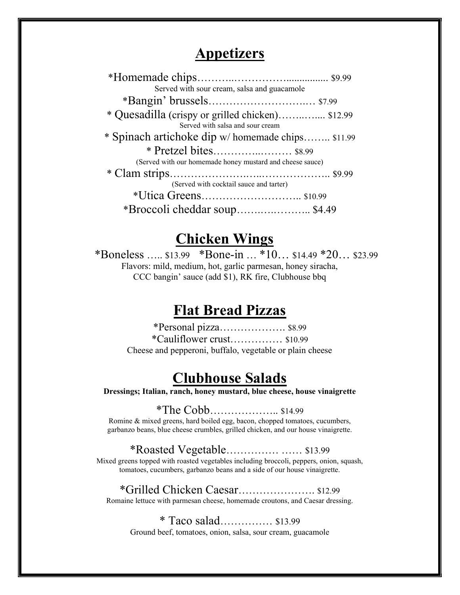### Appetizers

| Served with sour cream, salsa and guacamole               |  |
|-----------------------------------------------------------|--|
|                                                           |  |
| * Quesadilla (crispy or grilled chicken) \$12.99          |  |
| Served with salsa and sour cream                          |  |
| * Spinach artichoke dip w/homemade chips \$11.99          |  |
|                                                           |  |
| (Served with our homemade honey mustard and cheese sauce) |  |
|                                                           |  |
| (Served with cocktail sauce and tarter)                   |  |
|                                                           |  |
| *Broccoli cheddar soup \$4.49                             |  |

# Chicken Wings

\*Boneless ….. \$13.99 \*Bone-in … \*10… \$14.49 \*20… \$23.99 Flavors: mild, medium, hot, garlic parmesan, honey siracha, CCC bangin' sauce (add \$1), RK fire, Clubhouse bbq

### Flat Bread Pizzas

\*Personal pizza………………. \$8.99 \*Cauliflower crust…………… \$10.99 Cheese and pepperoni, buffalo, vegetable or plain cheese

## Clubhouse Salads

Dressings; Italian, ranch, honey mustard, blue cheese, house vinaigrette

\*The Cobb……………….. \$14.99

Romine & mixed greens, hard boiled egg, bacon, chopped tomatoes, cucumbers, garbanzo beans, blue cheese crumbles, grilled chicken, and our house vinaigrette.

#### \*Roasted Vegetable…………… …… \$13.99

Mixed greens topped with roasted vegetables including broccoli, peppers, onion, squash, tomatoes, cucumbers, garbanzo beans and a side of our house vinaigrette.

\*Grilled Chicken Caesar…………………. \$12.99 Romaine lettuce with parmesan cheese, homemade croutons, and Caesar dressing.

\* Taco salad…………… \$13.99 Ground beef, tomatoes, onion, salsa, sour cream, guacamole